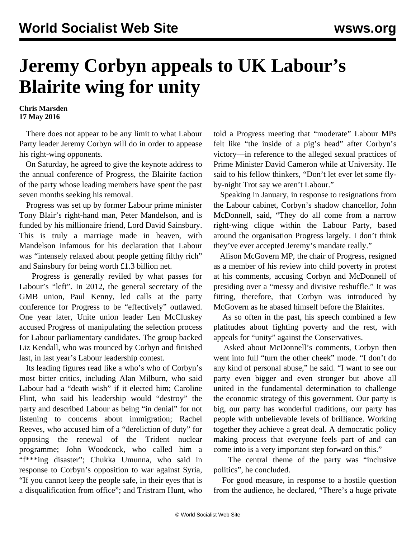## **Jeremy Corbyn appeals to UK Labour's Blairite wing for unity**

**Chris Marsden 17 May 2016**

 There does not appear to be any limit to what Labour Party leader Jeremy Corbyn will do in order to appease his right-wing opponents.

 On Saturday, he agreed to give the keynote address to the annual conference of Progress, the Blairite faction of the party whose leading members have spent the past seven months seeking his removal.

 Progress was set up by former Labour prime minister Tony Blair's right-hand man, Peter Mandelson, and is funded by his millionaire friend, Lord David Sainsbury. This is truly a marriage made in heaven, with Mandelson infamous for his declaration that Labour was "intensely relaxed about people getting filthy rich" and Sainsbury for being worth £1.3 billion net.

 Progress is generally reviled by what passes for Labour's "left". In 2012, the general secretary of the GMB union, Paul Kenny, led calls at the party conference for Progress to be "effectively" outlawed. One year later, Unite union leader Len McCluskey accused Progress of manipulating the selection process for Labour parliamentary candidates. The group backed Liz Kendall, who was trounced by Corbyn and finished last, in last year's Labour leadership contest.

 Its leading figures read like a who's who of Corbyn's most bitter critics, including Alan Milburn, who said Labour had a "death wish" if it elected him; Caroline Flint, who said his leadership would "destroy" the party and described Labour as being "in denial" for not listening to concerns about immigration; Rachel Reeves, who accused him of a "dereliction of duty" for opposing the renewal of the Trident nuclear programme; John Woodcock, who called him a "f\*\*\*ing disaster"; Chukka Umunna, who said in response to Corbyn's opposition to war against Syria, "If you cannot keep the people safe, in their eyes that is a disqualification from office"; and Tristram Hunt, who

told a Progress meeting that "moderate" Labour MPs felt like "the inside of a pig's head" after Corbyn's victory—in reference to the alleged sexual practices of Prime Minister David Cameron while at University. He said to his fellow thinkers, "Don't let ever let some flyby-night Trot say we aren't Labour."

 Speaking in January, in response to resignations from the Labour cabinet, Corbyn's shadow chancellor, John McDonnell, said, "They do all come from a narrow right-wing clique within the Labour Party, based around the organisation Progress largely. I don't think they've ever accepted Jeremy's mandate really."

 Alison McGovern MP, the chair of Progress, resigned as a member of his review into child poverty in protest at his comments, accusing Corbyn and McDonnell of presiding over a "messy and divisive reshuffle." It was fitting, therefore, that Corbyn was introduced by McGovern as he abased himself before the Blairites.

 As so often in the past, his speech combined a few platitudes about fighting poverty and the rest, with appeals for "unity" against the Conservatives.

 Asked about McDonnell's comments, Corbyn then went into full "turn the other cheek" mode. "I don't do any kind of personal abuse," he said. "I want to see our party even bigger and even stronger but above all united in the fundamental determination to challenge the economic strategy of this government. Our party is big, our party has wonderful traditions, our party has people with unbelievable levels of brilliance. Working together they achieve a great deal. A democratic policy making process that everyone feels part of and can come into is a very important step forward on this."

 The central theme of the party was "inclusive politics", he concluded.

 For good measure, in response to a hostile question from the audience, he declared, "There's a huge private